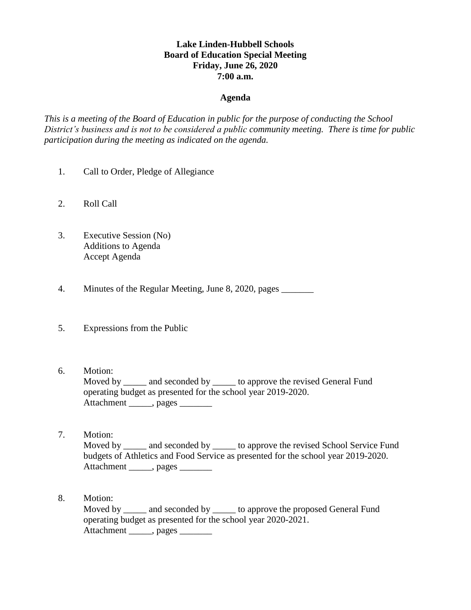## **Lake Linden-Hubbell Schools Board of Education Special Meeting Friday, June 26, 2020 7:00 a.m.**

## **Agenda**

*This is a meeting of the Board of Education in public for the purpose of conducting the School District's business and is not to be considered a public community meeting. There is time for public participation during the meeting as indicated on the agenda.*

- 1. Call to Order, Pledge of Allegiance
- 2. Roll Call
- 3. Executive Session (No) Additions to Agenda Accept Agenda
- 4. Minutes of the Regular Meeting, June 8, 2020, pages
- 5. Expressions from the Public
- 6. Motion:

Moved by \_\_\_\_\_\_ and seconded by \_\_\_\_\_\_ to approve the revised General Fund operating budget as presented for the school year 2019-2020. Attachment \_\_\_\_\_, pages \_\_\_\_\_\_\_

- 7. Motion: Moved by and seconded by to approve the revised School Service Fund budgets of Athletics and Food Service as presented for the school year 2019-2020. Attachment \_\_\_\_\_, pages \_\_\_\_\_\_\_
- 8. Motion: Moved by \_\_\_\_\_\_ and seconded by \_\_\_\_\_\_ to approve the proposed General Fund operating budget as presented for the school year 2020-2021. Attachment \_\_\_\_\_, pages \_\_\_\_\_\_\_